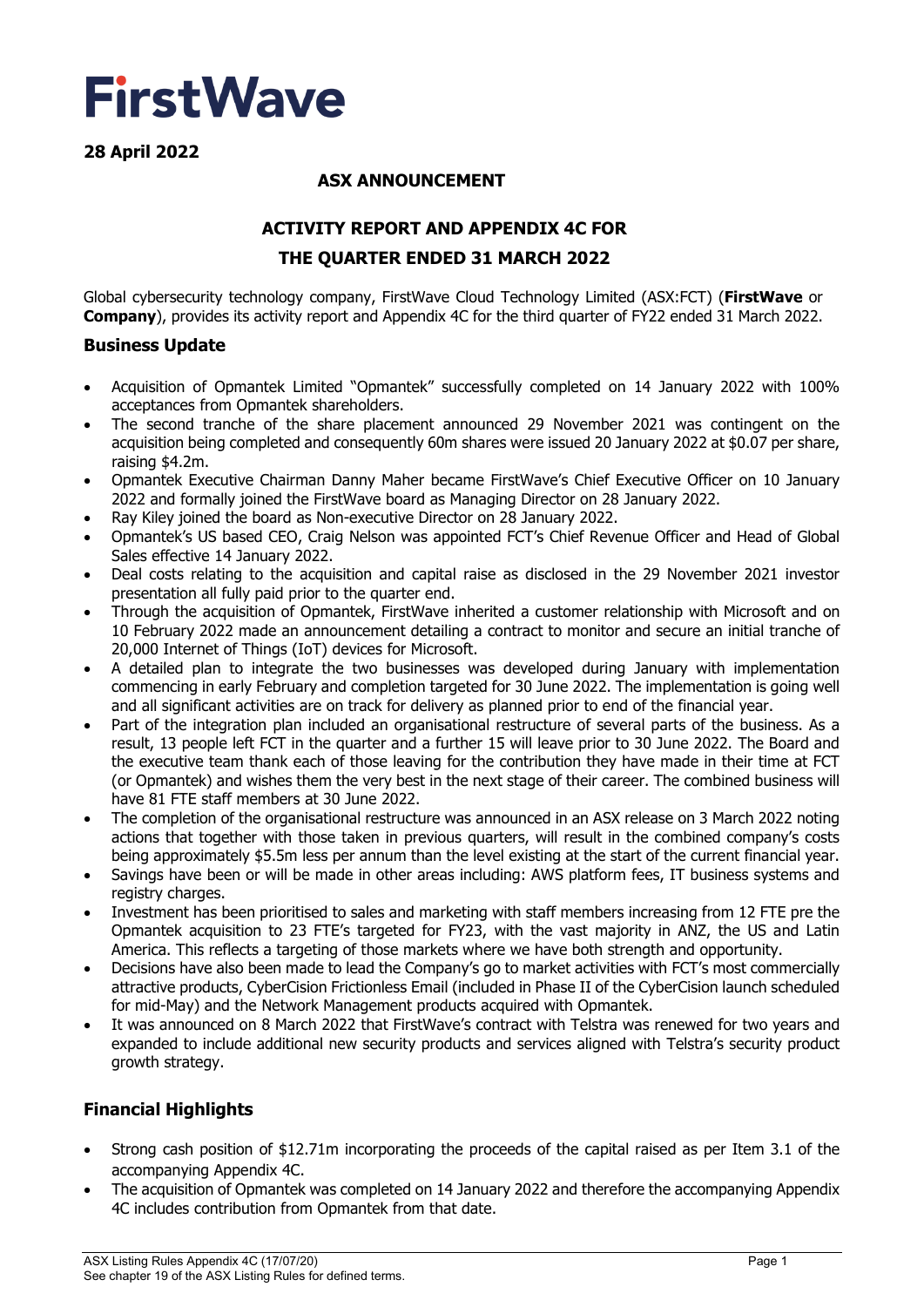

**28 April 2022** 

# **ASX ANNOUNCEMENT**

# **ACTIVITY REPORT AND APPENDIX 4C FOR**

## **THE QUARTER ENDED 31 MARCH 2022**

Global cybersecurity technology company, FirstWave Cloud Technology Limited (ASX:FCT) (**FirstWave** or **Company**), provides its activity report and Appendix 4C for the third quarter of FY22 ended 31 March 2022.

# **Business Update**

- Acquisition of Opmantek Limited "Opmantek" successfully completed on 14 January 2022 with 100% acceptances from Opmantek shareholders.
- The second tranche of the share placement announced 29 November 2021 was contingent on the acquisition being completed and consequently 60m shares were issued 20 January 2022 at \$0.07 per share, raising \$4.2m.
- Opmantek Executive Chairman Danny Maher became FirstWave's Chief Executive Officer on 10 January 2022 and formally joined the FirstWave board as Managing Director on 28 January 2022.
- Ray Kiley joined the board as Non-executive Director on 28 January 2022.
- Opmantek's US based CEO, Craig Nelson was appointed FCT's Chief Revenue Officer and Head of Global Sales effective 14 January 2022.
- Deal costs relating to the acquisition and capital raise as disclosed in the 29 November 2021 investor presentation all fully paid prior to the quarter end.
- Through the acquisition of Opmantek, FirstWave inherited a customer relationship with Microsoft and on 10 February 2022 made an announcement detailing a contract to monitor and secure an initial tranche of 20,000 Internet of Things (IoT) devices for Microsoft.
- A detailed plan to integrate the two businesses was developed during January with implementation commencing in early February and completion targeted for 30 June 2022. The implementation is going well and all significant activities are on track for delivery as planned prior to end of the financial year.
- Part of the integration plan included an organisational restructure of several parts of the business. As a result, 13 people left FCT in the quarter and a further 15 will leave prior to 30 June 2022. The Board and the executive team thank each of those leaving for the contribution they have made in their time at FCT (or Opmantek) and wishes them the very best in the next stage of their career. The combined business will have 81 FTE staff members at 30 June 2022.
- The completion of the organisational restructure was announced in an ASX release on 3 March 2022 noting actions that together with those taken in previous quarters, will result in the combined company's costs being approximately \$5.5m less per annum than the level existing at the start of the current financial year.
- Savings have been or will be made in other areas including: AWS platform fees, IT business systems and registry charges.
- Investment has been prioritised to sales and marketing with staff members increasing from 12 FTE pre the Opmantek acquisition to 23 FTE's targeted for FY23, with the vast majority in ANZ, the US and Latin America. This reflects a targeting of those markets where we have both strength and opportunity.
- Decisions have also been made to lead the Company's go to market activities with FCT's most commercially attractive products, CyberCision Frictionless Email (included in Phase II of the CyberCision launch scheduled for mid-May) and the Network Management products acquired with Opmantek.
- It was announced on 8 March 2022 that FirstWave's contract with Telstra was renewed for two years and expanded to include additional new security products and services aligned with Telstra's security product growth strategy.

# **Financial Highlights**

- Strong cash position of \$12.71m incorporating the proceeds of the capital raised as per Item 3.1 of the accompanying Appendix 4C.
- The acquisition of Opmantek was completed on 14 January 2022 and therefore the accompanying Appendix 4C includes contribution from Opmantek from that date.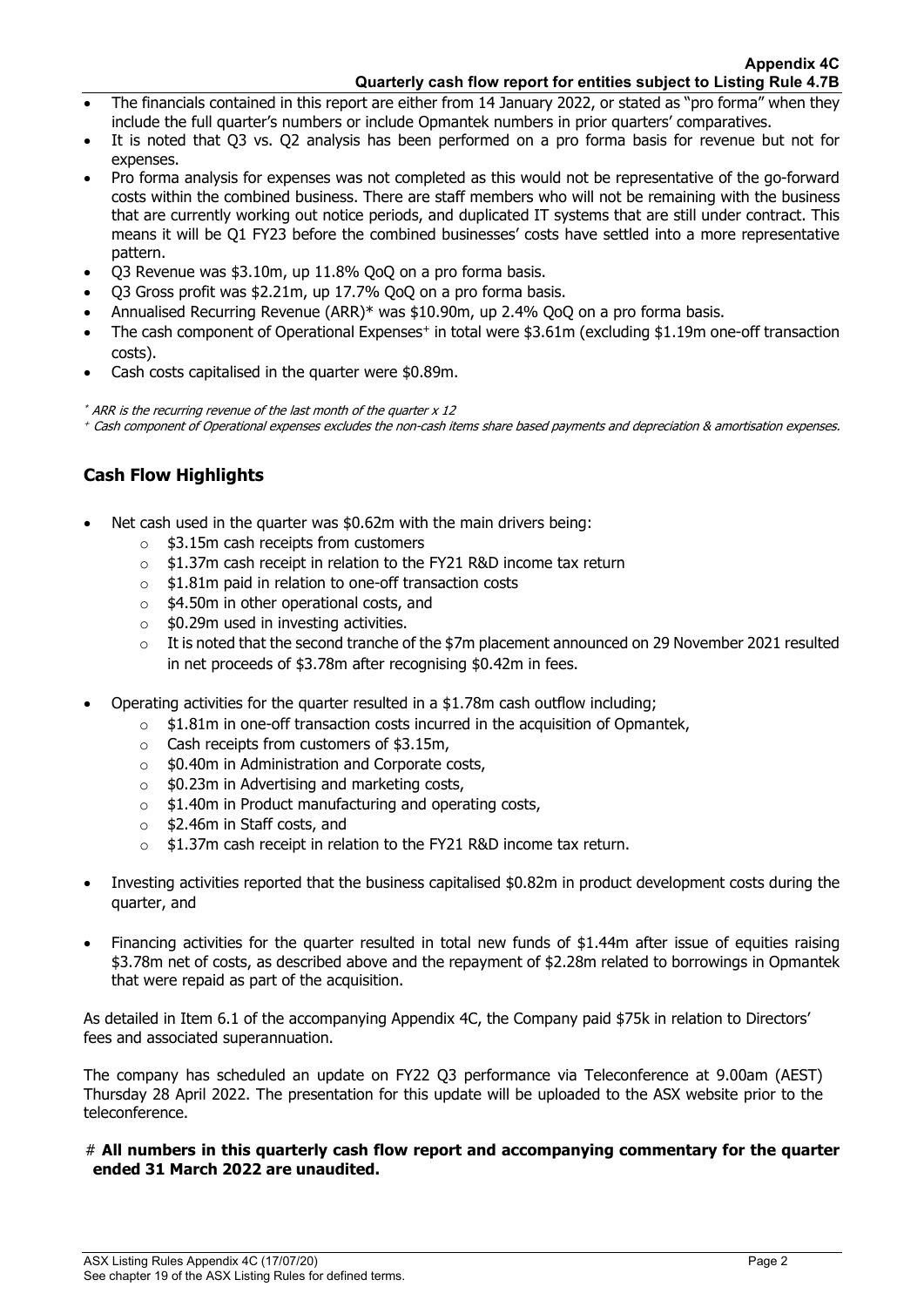- The financials contained in this report are either from 14 January 2022, or stated as "pro forma" when they include the full quarter's numbers or include Opmantek numbers in prior quarters' comparatives.
- It is noted that Q3 vs. Q2 analysis has been performed on a pro forma basis for revenue but not for expenses.
- Pro forma analysis for expenses was not completed as this would not be representative of the go-forward costs within the combined business. There are staff members who will not be remaining with the business that are currently working out notice periods, and duplicated IT systems that are still under contract. This means it will be Q1 FY23 before the combined businesses' costs have settled into a more representative pattern.
- Q3 Revenue was \$3.10m, up 11.8% QoQ on a pro forma basis.
- Q3 Gross profit was \$2.21m, up 17.7% QoQ on a pro forma basis.
- Annualised Recurring Revenue (ARR)\* was \$10.90m, up 2.4% QoQ on a pro forma basis.
- The cash component of Operational Expenses<sup>+</sup> in total were \$3.61m (excluding \$1.19m one-off transaction costs).
- Cash costs capitalised in the quarter were \$0.89m.

\* ARR is the recurring revenue of the last month of the quarter x 12 + Cash component of Operational expenses excludes the non-cash items share based payments and depreciation & amortisation expenses.

# **Cash Flow Highlights**

- Net cash used in the quarter was \$0.62m with the main drivers being:
	- $\circ$  \$3.15m cash receipts from customers
	- $\circ$  \$1.37m cash receipt in relation to the FY21 R&D income tax return
	- o \$1.81m paid in relation to one-off transaction costs
	- o \$4.50m in other operational costs, and
	- $\circ$  \$0.29m used in investing activities.
	- $\circ$  It is noted that the second tranche of the \$7m placement announced on 29 November 2021 resulted in net proceeds of \$3.78m after recognising \$0.42m in fees.
- Operating activities for the quarter resulted in a \$1.78m cash outflow including;
	- $\circ$  \$1.81m in one-off transaction costs incurred in the acquisition of Opmantek,
	- o Cash receipts from customers of \$3.15m,
	- o \$0.40m in Administration and Corporate costs,
	- $\circ$  \$0.23m in Advertising and marketing costs,
	- o \$1.40m in Product manufacturing and operating costs,
	- o \$2.46m in Staff costs, and
	- o \$1.37m cash receipt in relation to the FY21 R&D income tax return.
- Investing activities reported that the business capitalised \$0.82m in product development costs during the quarter, and
- Financing activities for the quarter resulted in total new funds of \$1.44m after issue of equities raising \$3.78m net of costs, as described above and the repayment of \$2.28m related to borrowings in Opmantek that were repaid as part of the acquisition.

As detailed in Item 6.1 of the accompanying Appendix 4C, the Company paid \$75k in relation to Directors' fees and associated superannuation.

The company has scheduled an update on FY22 Q3 performance via Teleconference at 9.00am (AEST) Thursday 28 April 2022. The presentation for this update will be uploaded to the ASX website prior to the teleconference.

## # **All numbers in this quarterly cash flow report and accompanying commentary for the quarter ended 31 March 2022 are unaudited.**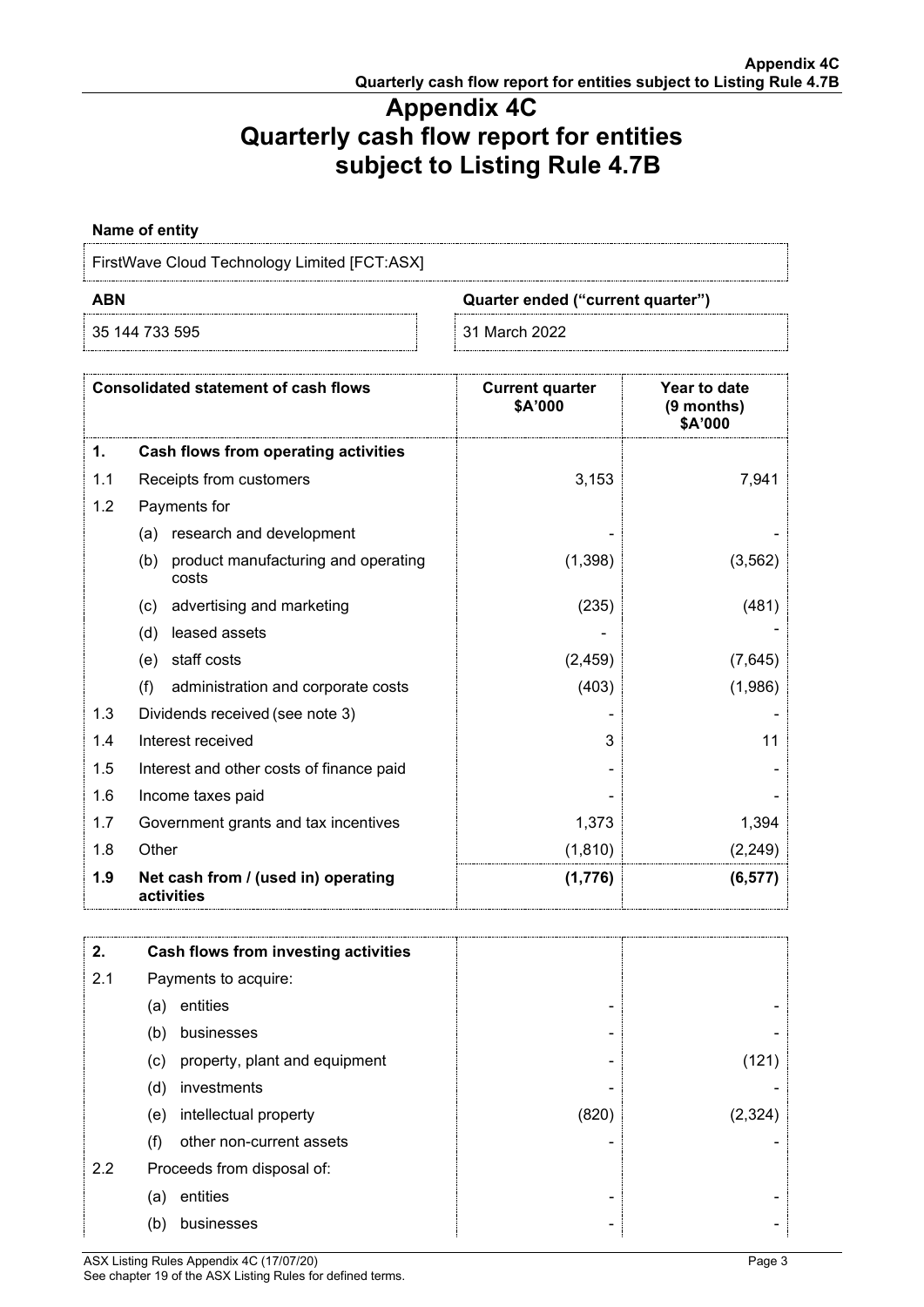# **Appendix 4C Quarterly cash flow report for entities subject to Listing Rule 4.7B**

**Name of entity**

FirstWave Cloud Technology Limited [FCT:ASX]

35 144 733 595 31 March 2022

**ABN Quarter ended ("current quarter")**

|     | <b>Consolidated statement of cash flows</b>         | <b>Current quarter</b><br>\$A'000 | Year to date<br>(9 months)<br>\$A'000 |
|-----|-----------------------------------------------------|-----------------------------------|---------------------------------------|
| 1.  | Cash flows from operating activities                |                                   |                                       |
| 1.1 | Receipts from customers                             | 3,153                             | 7,941                                 |
| 1.2 | Payments for                                        |                                   |                                       |
|     | research and development<br>(a)                     |                                   |                                       |
|     | product manufacturing and operating<br>(b)<br>costs | (1,398)                           | (3, 562)                              |
|     | advertising and marketing<br>(c)                    | (235)                             | (481)                                 |
|     | (d)<br>leased assets                                |                                   |                                       |
|     | staff costs<br>(e)                                  | (2, 459)                          | (7,645)                               |
|     | (f)<br>administration and corporate costs           | (403)                             | (1,986)                               |
| 1.3 | Dividends received (see note 3)                     |                                   |                                       |
| 1.4 | Interest received                                   | 3                                 | 11                                    |
| 1.5 | Interest and other costs of finance paid            |                                   |                                       |
| 1.6 | Income taxes paid                                   |                                   |                                       |
| 1.7 | Government grants and tax incentives                | 1,373                             | 1,394                                 |
| 1.8 | Other                                               | (1, 810)                          | (2, 249)                              |
| 1.9 | Net cash from / (used in) operating<br>activities   | (1,776)                           | (6, 577)                              |

| 2.  | Cash flows from investing activities |       |         |
|-----|--------------------------------------|-------|---------|
| 2.1 | Payments to acquire:                 |       |         |
|     | entities<br>(a)                      |       |         |
|     | businesses<br>(b)                    |       |         |
|     | property, plant and equipment<br>(c) | -     |         |
|     | (d)<br>investments                   |       |         |
|     | intellectual property<br>(e)         | (820) | (2.324) |
|     | other non-current assets<br>(f)      |       |         |
| 2.2 | Proceeds from disposal of:           |       |         |
|     | entities<br>(a)                      | -     |         |
|     | (b)<br>businesses                    |       |         |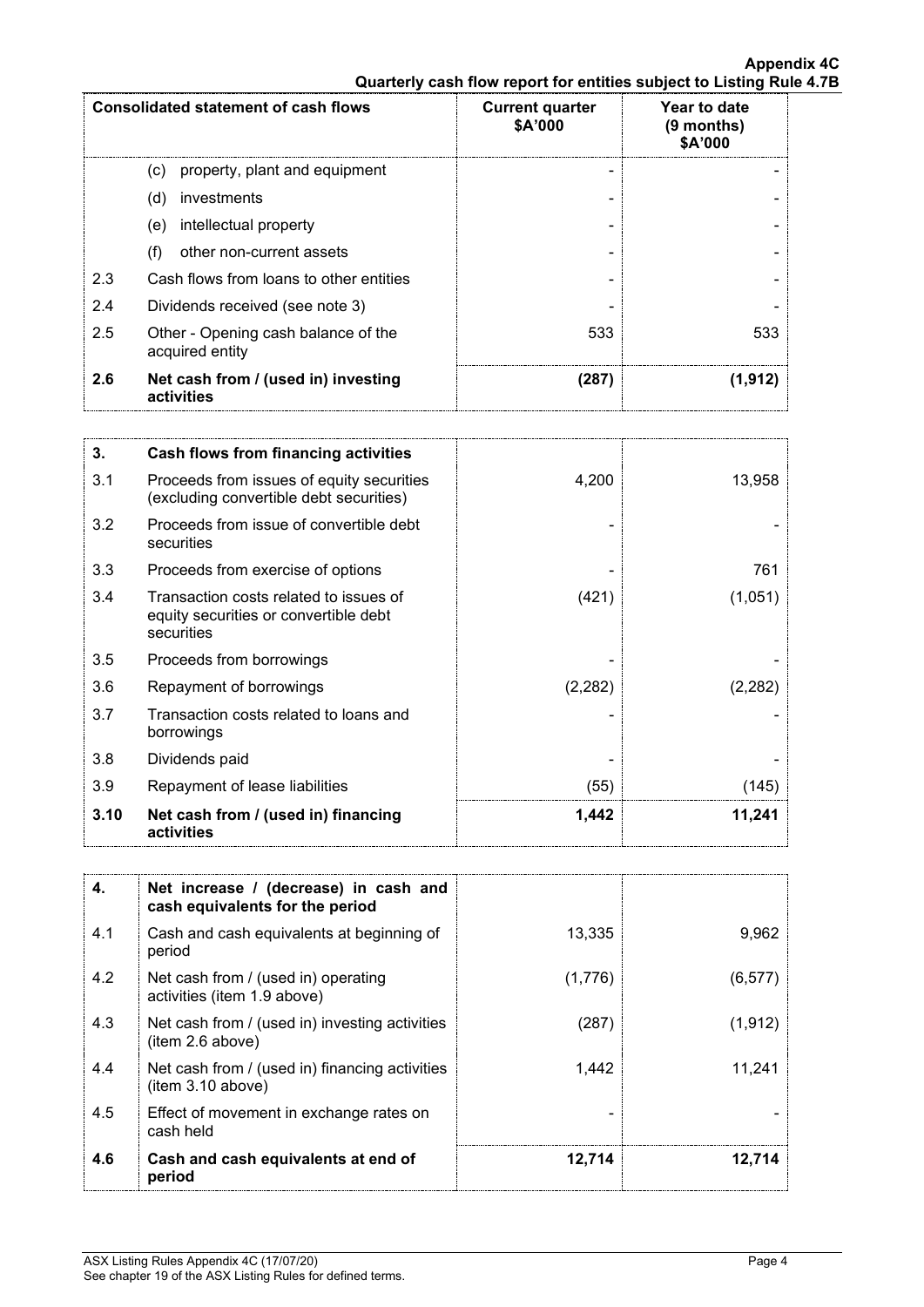| <b>Consolidated statement of cash flows</b> |                                                        | <b>Current quarter</b> | Year to date            |
|---------------------------------------------|--------------------------------------------------------|------------------------|-------------------------|
|                                             |                                                        | \$A'000                | $(9$ months)<br>\$A'000 |
|                                             | property, plant and equipment<br>(c)                   |                        |                         |
|                                             | investments<br>(d)                                     |                        |                         |
|                                             | intellectual property<br>(e)                           |                        |                         |
|                                             | (f)<br>other non-current assets                        |                        |                         |
| 2.3                                         | Cash flows from loans to other entities                |                        |                         |
| 2.4                                         | Dividends received (see note 3)                        |                        |                         |
| 2.5                                         | Other - Opening cash balance of the<br>acquired entity | 533                    | 533                     |
| 2.6                                         | Net cash from / (used in) investing<br>activities      | (287)                  | (1.912)                 |

| 3.   | Cash flows from financing activities                                                          |         |         |
|------|-----------------------------------------------------------------------------------------------|---------|---------|
| 3.1  | Proceeds from issues of equity securities<br>(excluding convertible debt securities)          | 4,200   | 13,958  |
| 3.2  | Proceeds from issue of convertible debt<br>securities                                         |         |         |
| 3.3  | Proceeds from exercise of options                                                             |         | 761     |
| 3.4  | Transaction costs related to issues of<br>equity securities or convertible debt<br>securities | (421)   | (1,051) |
| 3.5  | Proceeds from borrowings                                                                      |         |         |
| 3.6  | Repayment of borrowings                                                                       | (2,282) | (2,282) |
| 3.7  | Transaction costs related to loans and<br>borrowings                                          |         |         |
| 3.8  | Dividends paid                                                                                |         |         |
| 3.9  | Repayment of lease liabilities                                                                | (55)    | (145)   |
| 3.10 | Net cash from / (used in) financing<br>activities                                             | 1,442   | 11,241  |

| 4.  | Net increase / (decrease) in cash and<br>cash equivalents for the period |         |          |
|-----|--------------------------------------------------------------------------|---------|----------|
| 4.1 | Cash and cash equivalents at beginning of<br>period                      | 13,335  | 9,962    |
| 4.2 | Net cash from / (used in) operating<br>activities (item 1.9 above)       | (1,776) | (6, 577) |
| 4.3 | Net cash from / (used in) investing activities<br>(item 2.6 above)       | (287)   | (1, 912) |
| 4.4 | Net cash from / (used in) financing activities<br>(item 3.10 above)      | 1.442   | 11.241   |
| 4.5 | Effect of movement in exchange rates on<br>cash held                     |         |          |
| 4.6 | Cash and cash equivalents at end of<br>period                            | 12,714  | 12,714   |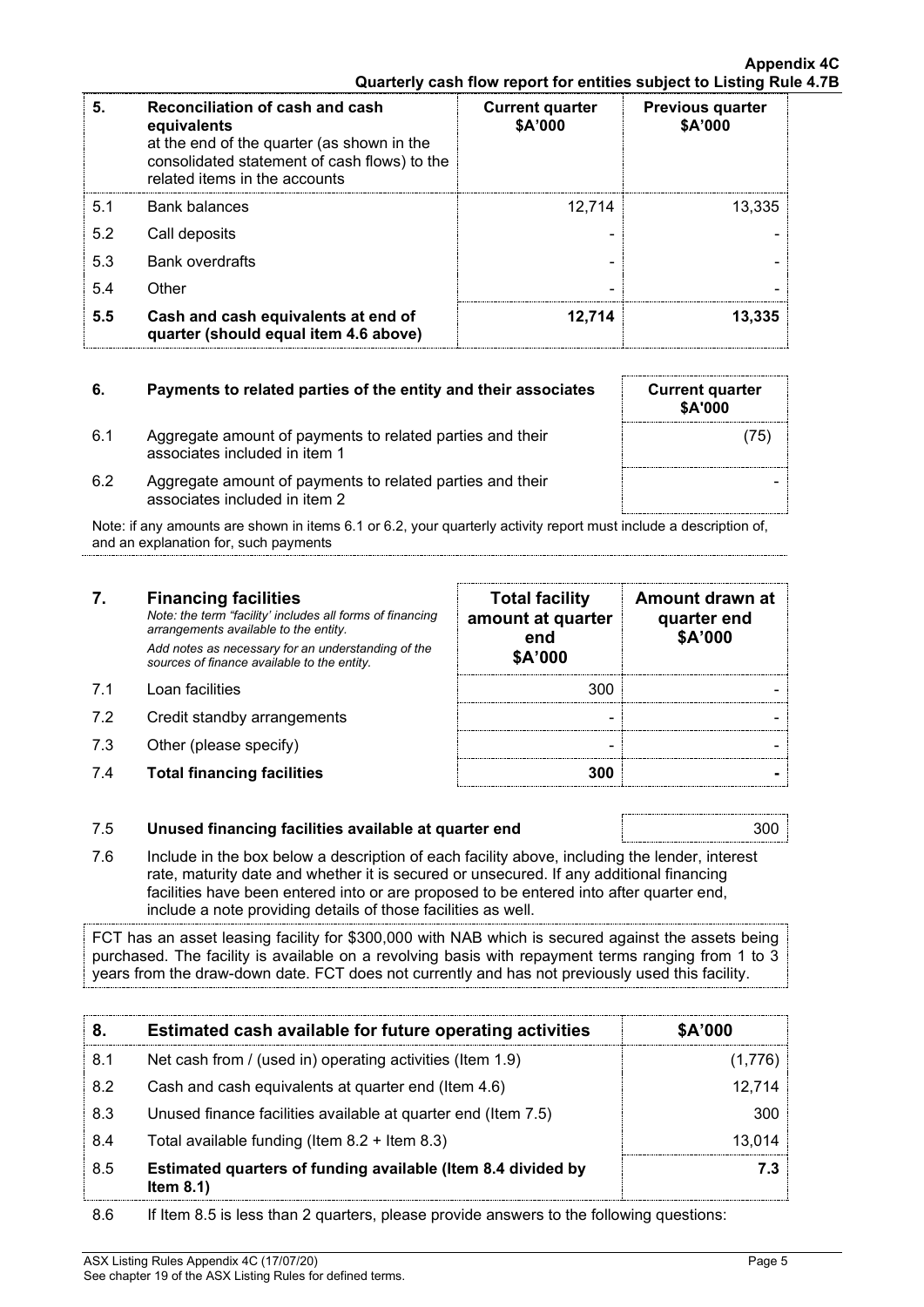| 5.  | Reconciliation of cash and cash<br>equivalents<br>at the end of the quarter (as shown in the<br>consolidated statement of cash flows) to the<br>related items in the accounts | <b>Current quarter</b><br>\$A'000 | <b>Previous quarter</b><br>\$A'000 |
|-----|-------------------------------------------------------------------------------------------------------------------------------------------------------------------------------|-----------------------------------|------------------------------------|
| 5.1 | <b>Bank balances</b>                                                                                                                                                          | 12.714                            | 13.335                             |
| 5.2 | Call deposits                                                                                                                                                                 |                                   |                                    |
| 5.3 | <b>Bank overdrafts</b>                                                                                                                                                        |                                   |                                    |
| 5.4 | Other                                                                                                                                                                         |                                   |                                    |
| 5.5 | Cash and cash equivalents at end of<br>quarter (should equal item 4.6 above)                                                                                                  | 12.714                            | 13.335                             |

# **6.** Payments to related parties of the entity and their associates Current quarter

- 6.1 Aggregate amount of payments to related parties and their associates included in item 1
- 6.2 Aggregate amount of payments to related parties and their associates included in item 2

Note: if any amounts are shown in items 6.1 or 6.2, your quarterly activity report must include a description of, and an explanation for, such payments

# **7. Financing facilities**

*Note: the term "facility' includes all forms of financing arrangements available to the entity. Add notes as necessary for an understanding of the sources of finance available to the entity.*

- 7.1 Loan facilities
- 7.2 Credit standby arrangements
- $7.3$  Other (please specify)
- 7.4 **Total financing facilities 300 -**

| <b>Total facility</b><br>amount at quarter<br>end<br>\$A'000 | Amount drawn at<br>quarter end<br>\$A'000 |
|--------------------------------------------------------------|-------------------------------------------|
| 300                                                          |                                           |
|                                                              |                                           |
|                                                              |                                           |
| 300                                                          |                                           |

**\$A'000**

(75)

-

### 7.5 **Unused financing facilities available at quarter end** 300

7.6 Include in the box below a description of each facility above, including the lender, interest rate, maturity date and whether it is secured or unsecured. If any additional financing facilities have been entered into or are proposed to be entered into after quarter end, include a note providing details of those facilities as well.

FCT has an asset leasing facility for \$300,000 with NAB which is secured against the assets being purchased. The facility is available on a revolving basis with repayment terms ranging from 1 to 3 years from the draw-down date. FCT does not currently and has not previously used this facility.

| 8.   | Estimated cash available for future operating activities                     | \$A'000 |
|------|------------------------------------------------------------------------------|---------|
| -8.1 | Net cash from / (used in) operating activities (Item 1.9)                    |         |
| 8.2  | Cash and cash equivalents at quarter end (Item 4.6)                          | 12.714  |
| 8.3  | Unused finance facilities available at quarter end (Item 7.5)                | 300     |
| 8.4  | Total available funding (Item $8.2 +$ Item $8.3$ )                           | 13.014  |
| 8.5  | Estimated quarters of funding available (Item 8.4 divided by<br>Item $8.1$ ) |         |

8.6 If Item 8.5 is less than 2 quarters, please provide answers to the following questions: